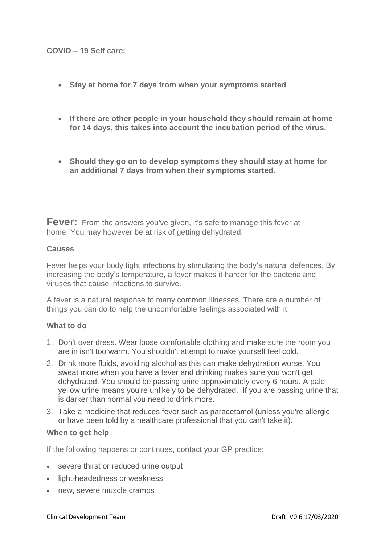## **COVID – 19 Self care:**

- **Stay at home for 7 days from when your symptoms started**
- **If there are other people in your household they should remain at home for 14 days, this takes into account the incubation period of the virus.**
- **Should they go on to develop symptoms they should stay at home for an additional 7 days from when their symptoms started.**

**Fever:** From the answers you've given, it's safe to manage this fever at home. You may however be at risk of getting dehydrated.

## **Causes**

Fever helps your body fight infections by stimulating the body's natural defences. By increasing the body's temperature, a fever makes it harder for the bacteria and viruses that cause infections to survive.

A fever is a natural response to many common illnesses. There are a number of things you can do to help the uncomfortable feelings associated with it.

#### **What to do**

- 1. Don't over dress. Wear loose comfortable clothing and make sure the room you are in isn't too warm. You shouldn't attempt to make yourself feel cold.
- 2. Drink more fluids, avoiding alcohol as this can make dehydration worse. You sweat more when you have a fever and drinking makes sure you won't get dehydrated. You should be passing urine approximately every 6 hours. A pale yellow urine means you're unlikely to be dehydrated. If you are passing urine that is darker than normal you need to drink more.
- 3. Take a medicine that reduces fever such as paracetamol (unless you're allergic or have been told by a healthcare professional that you can't take it).

#### **When to get help**

If the following happens or continues, contact your GP practice:

- severe thirst or reduced urine output
- light-headedness or weakness
- new, severe muscle cramps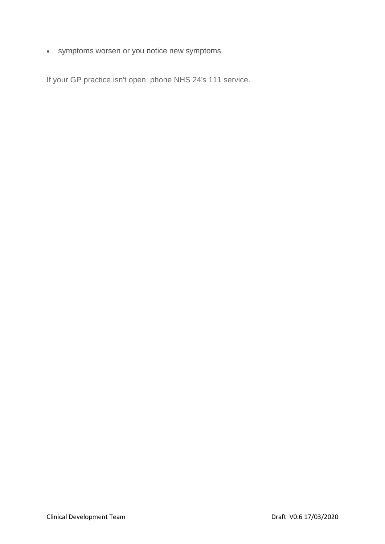symptoms worsen or you notice new symptoms

If your GP practice isn't open, phone NHS 24's 111 service.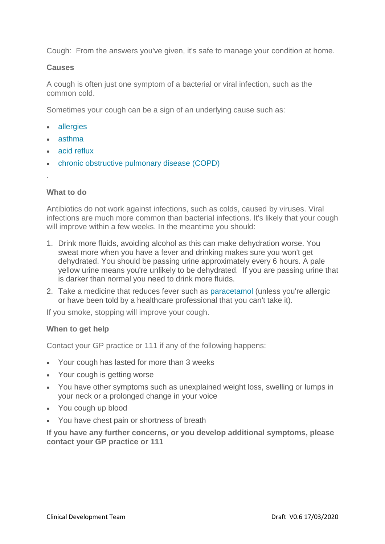Cough: From the answers you've given, it's safe to manage your condition at home.

## **Causes**

A cough is often just one symptom of a bacterial or viral infection, such as the common cold.

Sometimes your cough can be a sign of an underlying cause such as:

- [allergies](https://www.nhsinform.scot/illnesses-and-conditions/lungs-and-airways/asthma)
- [asthma](https://www.nhsinform.scot/illnesses-and-conditions/lungs-and-airways/asthma)
- [acid reflux](https://www.nhsinform.scot/illnesses-and-conditions/injuries/skin-injuries/acid-and-chemical-burns)
- [chronic obstructive pulmonary disease \(COPD\)](https://www.nhsinform.scot/illnesses-and-conditions/lungs-and-airways/copd/chronic-obstructive-pulmonary-disease)
- .

## **What to do**

Antibiotics do not work against infections, such as colds, caused by viruses. Viral infections are much more common than bacterial infections. It's likely that your cough will improve within a few weeks. In the meantime you should:

- 1. Drink more fluids, avoiding alcohol as this can make dehydration worse. You sweat more when you have a fever and drinking makes sure you won't get dehydrated. You should be passing urine approximately every 6 hours. A pale yellow urine means you're unlikely to be dehydrated. If you are passing urine that is darker than normal you need to drink more fluids.
- 2. Take a medicine that reduces fever such as [paracetamol](https://www.nhsinform.scot/tests-and-treatments/medicines-and-medical-aids/types-of-medicine/paracetamol) (unless you're allergic or have been told by a healthcare professional that you can't take it).

If you smoke, stopping will improve your cough.

#### **When to get help**

Contact your GP practice or 111 if any of the following happens:

- Your cough has lasted for more than 3 weeks
- Your cough is getting worse
- You have other symptoms such as unexplained weight loss, swelling or lumps in your neck or a prolonged change in your voice
- You cough up blood
- You have chest pain or shortness of breath

**If you have any further concerns, or you develop additional symptoms, please contact your GP practice or 111**